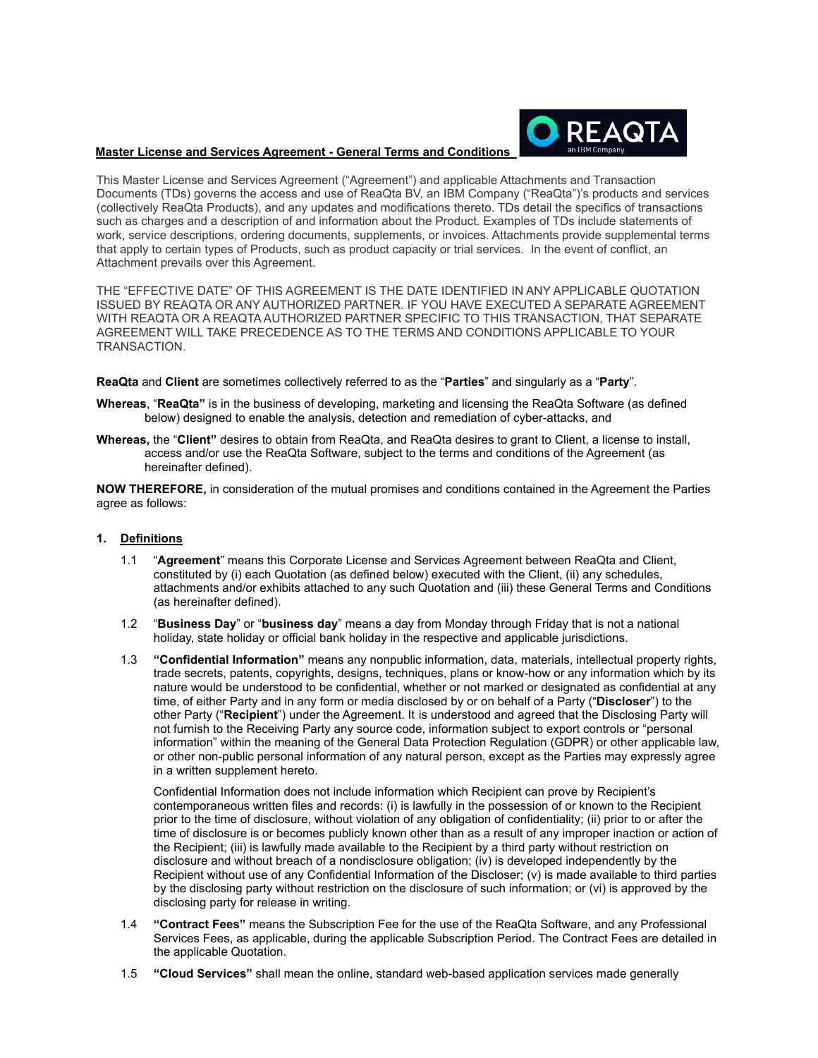## **Master License and Services Agreement - General Terms and Conditions**



This Master License and Services Agreement ("Agreement") and applicable Attachments and Transaction Documents (TDs) governs the access and use of ReaQta BV, an IBM Company ("ReaQta")'s products and services (collectively ReaQta Products), and any updates and modifications thereto. TDs detail the specifics of transactions such as charges and a description of and information about the Product. Examples of TDs include statements of work, service descriptions, ordering documents, supplements, or invoices. Attachments provide supplemental terms that apply to certain types of Products, such as product capacity or trial services. In the event of conflict, an Attachment prevails over this Agreement.

THE "EFFECTIVE DATE" OF THIS AGREEMENT IS THE DATE IDENTIFIED IN ANY APPLICABLE QUOTATION ISSUED BY REAQTA OR ANY AUTHORIZED PARTNER. IF YOU HAVE EXECUTED A SEPARATE AGREEMENT WITH REAQTA OR A REAQTA AUTHORIZED PARTNER SPECIFIC TO THIS TRANSACTION, THAT SEPARATE AGREEMENT WILL TAKE PRECEDENCE AS TO THE TERMS AND CONDITIONS APPLICABLE TO YOUR TRANSACTION.

**ReaQta** and **Client** are sometimes collectively referred to as the "**Parties**" and singularly as a "**Party**".

- **Whereas**, "**ReaQta"** is in the business of developing, marketing and licensing the ReaQta Software (as defined below) designed to enable the analysis, detection and remediation of cyber-attacks, and
- **Whereas,** the "**Client"** desires to obtain from ReaQta, and ReaQta desires to grant to Client, a license to install, access and/or use the ReaQta Software, subject to the terms and conditions of the Agreement (as hereinafter defined).

**NOW THEREFORE,** in consideration of the mutual promises and conditions contained in the Agreement the Parties agree as follows:

## **1. Definitions**

- 1.1 "**Agreement**" means this Corporate License and Services Agreement between ReaQta and Client, constituted by (i) each Quotation (as defined below) executed with the Client, (ii) any schedules, attachments and/or exhibits attached to any such Quotation and (iii) these General Terms and Conditions (as hereinafter defined).
- 1.2 "**Business Day**" or "**business day**" means a day from Monday through Friday that is not a national holiday, state holiday or official bank holiday in the respective and applicable jurisdictions.
- 1.3 **"Confidential Information"** means any nonpublic information, data, materials, intellectual property rights, trade secrets, patents, copyrights, designs, techniques, plans or know-how or any information which by its nature would be understood to be confidential, whether or not marked or designated as confidential at any time, of either Party and in any form or media disclosed by or on behalf of a Party ("**Discloser**") to the other Party ("**Recipient**") under the Agreement. It is understood and agreed that the Disclosing Party will not furnish to the Receiving Party any source code, information subject to export controls or "personal information" within the meaning of the General Data Protection Regulation (GDPR) or other applicable law, or other non-public personal information of any natural person, except as the Parties may expressly agree in a written supplement hereto.

Confidential Information does not include information which Recipient can prove by Recipient's contemporaneous written files and records: (i) is lawfully in the possession of or known to the Recipient prior to the time of disclosure, without violation of any obligation of confidentiality; (ii) prior to or after the time of disclosure is or becomes publicly known other than as a result of any improper inaction or action of the Recipient; (iii) is lawfully made available to the Recipient by a third party without restriction on disclosure and without breach of a nondisclosure obligation; (iv) is developed independently by the Recipient without use of any Confidential Information of the Discloser; (v) is made available to third parties by the disclosing party without restriction on the disclosure of such information; or (vi) is approved by the disclosing party for release in writing.

- 1.4 **"Contract Fees"** means the Subscription Fee for the use of the ReaQta Software, and any Professional Services Fees, as applicable, during the applicable Subscription Period. The Contract Fees are detailed in the applicable Quotation.
- 1.5 **"Cloud Services"** shall mean the online, standard web-based application services made generally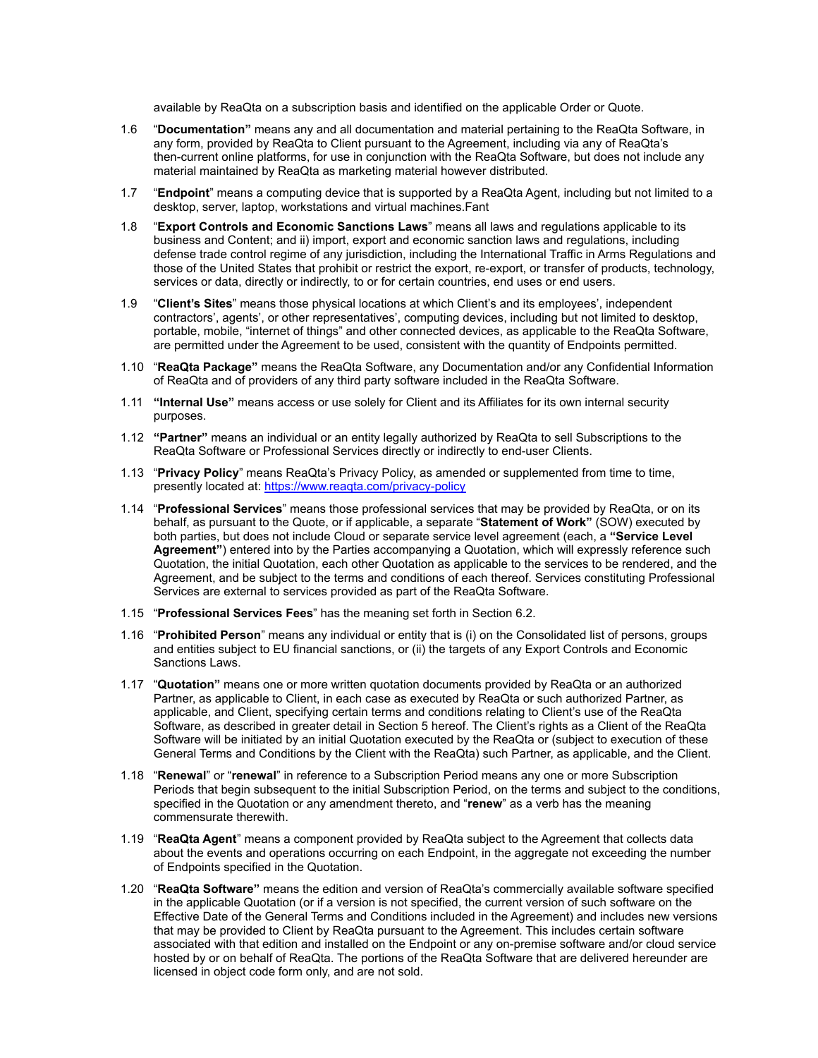available by ReaQta on a subscription basis and identified on the applicable Order or Quote.

- 1.6 "**Documentation"** means any and all documentation and material pertaining to the ReaQta Software, in any form, provided by ReaQta to Client pursuant to the Agreement, including via any of ReaQta's then-current online platforms, for use in conjunction with the ReaQta Software, but does not include any material maintained by ReaQta as marketing material however distributed.
- 1.7 "**Endpoint**" means a computing device that is supported by a ReaQta Agent, including but not limited to a desktop, server, laptop, workstations and virtual machines.Fant
- 1.8 "**Export Controls and Economic Sanctions Laws**" means all laws and regulations applicable to its business and Content; and ii) import, export and economic sanction laws and regulations, including defense trade control regime of any jurisdiction, including the International Traffic in Arms Regulations and those of the United States that prohibit or restrict the export, re-export, or transfer of products, technology, services or data, directly or indirectly, to or for certain countries, end uses or end users.
- 1.9 "**Client's Sites**" means those physical locations at which Client's and its employees', independent contractors', agents', or other representatives', computing devices, including but not limited to desktop, portable, mobile, "internet of things" and other connected devices, as applicable to the ReaQta Software, are permitted under the Agreement to be used, consistent with the quantity of Endpoints permitted.
- 1.10 "**ReaQta Package"** means the ReaQta Software, any Documentation and/or any Confidential Information of ReaQta and of providers of any third party software included in the ReaQta Software.
- 1.11 **"Internal Use"** means access or use solely for Client and its Affiliates for its own internal security purposes.
- 1.12 **"Partner"** means an individual or an entity legally authorized by ReaQta to sell Subscriptions to the ReaQta Software or Professional Services directly or indirectly to end-user Clients.
- 1.13 "**Privacy Policy**" means ReaQta's Privacy Policy, as amended or supplemented from time to time, presently located at: https://www.reaqta.com/privacy-policy
- 1.14 "**Professional Services**" means those professional services that may be provided by ReaQta, or on its behalf, as pursuant to the Quote, or if applicable, a separate "**Statement of Work"** (SOW) executed by both parties, but does not include Cloud or separate service level agreement (each, a **"Service Level Agreement"**) entered into by the Parties accompanying a Quotation, which will expressly reference such Quotation, the initial Quotation, each other Quotation as applicable to the services to be rendered, and the Agreement, and be subject to the terms and conditions of each thereof. Services constituting Professional Services are external to services provided as part of the ReaQta Software.
- 1.15 "**Professional Services Fees**" has the meaning set forth in Section 6.2.
- 1.16 "**Prohibited Person**" means any individual or entity that is (i) on the Consolidated list of persons, groups and entities subject to EU financial sanctions, or (ii) the targets of any Export Controls and Economic Sanctions Laws.
- 1.17 "**Quotation"** means one or more written quotation documents provided by ReaQta or an authorized Partner, as applicable to Client, in each case as executed by ReaQta or such authorized Partner, as applicable, and Client, specifying certain terms and conditions relating to Client's use of the ReaQta Software, as described in greater detail in Section 5 hereof. The Client's rights as a Client of the ReaQta Software will be initiated by an initial Quotation executed by the ReaQta or (subject to execution of these General Terms and Conditions by the Client with the ReaQta) such Partner, as applicable, and the Client.
- 1.18 "**Renewal**" or "**renewal**" in reference to a Subscription Period means any one or more Subscription Periods that begin subsequent to the initial Subscription Period, on the terms and subject to the conditions, specified in the Quotation or any amendment thereto, and "**renew**" as a verb has the meaning commensurate therewith.
- 1.19 "**ReaQta Agent**" means a component provided by ReaQta subject to the Agreement that collects data about the events and operations occurring on each Endpoint, in the aggregate not exceeding the number of Endpoints specified in the Quotation.
- 1.20 "**ReaQta Software"** means the edition and version of ReaQta's commercially available software specified in the applicable Quotation (or if a version is not specified, the current version of such software on the Effective Date of the General Terms and Conditions included in the Agreement) and includes new versions that may be provided to Client by ReaQta pursuant to the Agreement. This includes certain software associated with that edition and installed on the Endpoint or any on-premise software and/or cloud service hosted by or on behalf of ReaQta. The portions of the ReaQta Software that are delivered hereunder are licensed in object code form only, and are not sold.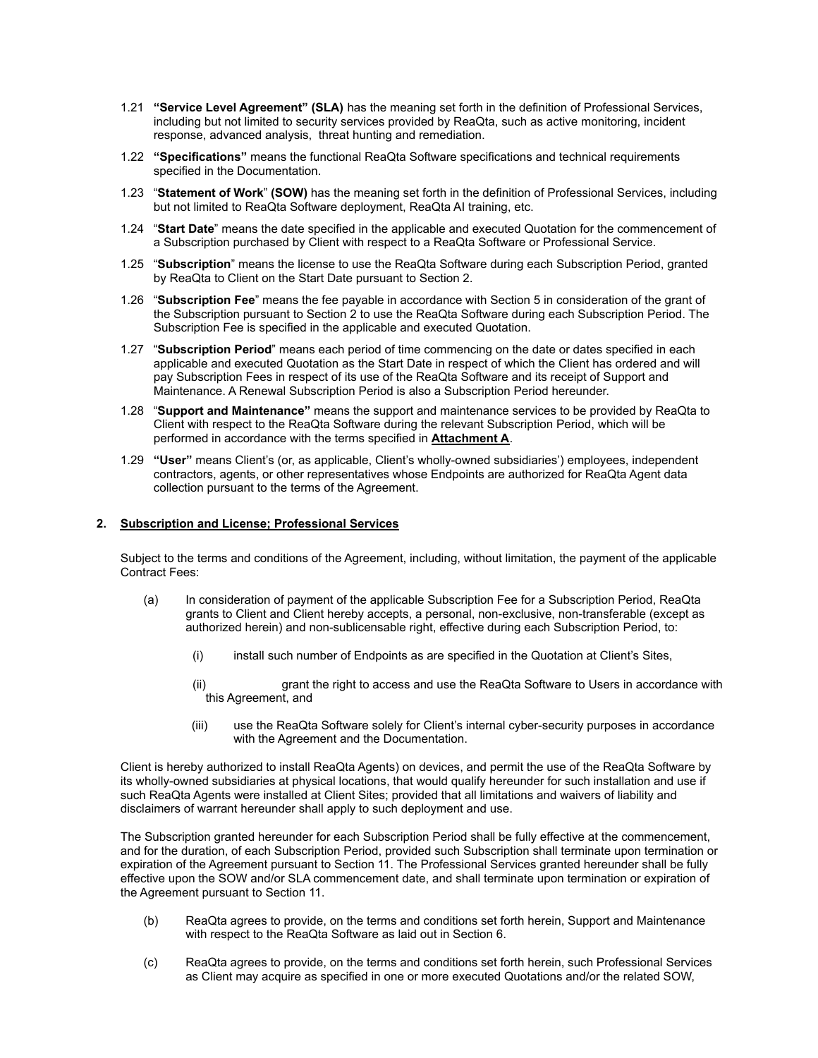- 1.21 **"Service Level Agreement" (SLA)** has the meaning set forth in the definition of Professional Services, including but not limited to security services provided by ReaQta, such as active monitoring, incident response, advanced analysis, threat hunting and remediation.
- 1.22 **"Specifications"** means the functional ReaQta Software specifications and technical requirements specified in the Documentation.
- 1.23 "**Statement of Work**" **(SOW)** has the meaning set forth in the definition of Professional Services, including but not limited to ReaQta Software deployment, ReaQta AI training, etc.
- 1.24 "**Start Date**" means the date specified in the applicable and executed Quotation for the commencement of a Subscription purchased by Client with respect to a ReaQta Software or Professional Service.
- 1.25 "**Subscription**" means the license to use the ReaQta Software during each Subscription Period, granted by ReaQta to Client on the Start Date pursuant to Section 2.
- 1.26 "**Subscription Fee**" means the fee payable in accordance with Section 5 in consideration of the grant of the Subscription pursuant to Section 2 to use the ReaQta Software during each Subscription Period. The Subscription Fee is specified in the applicable and executed Quotation.
- 1.27 "**Subscription Period**" means each period of time commencing on the date or dates specified in each applicable and executed Quotation as the Start Date in respect of which the Client has ordered and will pay Subscription Fees in respect of its use of the ReaQta Software and its receipt of Support and Maintenance. A Renewal Subscription Period is also a Subscription Period hereunder.
- 1.28 "**Support and Maintenance"** means the support and maintenance services to be provided by ReaQta to Client with respect to the ReaQta Software during the relevant Subscription Period, which will be performed in accordance with the terms specified in **Attachment A**.
- 1.29 **"User"** means Client's (or, as applicable, Client's wholly-owned subsidiaries') employees, independent contractors, agents, or other representatives whose Endpoints are authorized for ReaQta Agent data collection pursuant to the terms of the Agreement.

#### **2. Subscription and License; Professional Services**

Subject to the terms and conditions of the Agreement, including, without limitation, the payment of the applicable Contract Fees:

- (a) In consideration of payment of the applicable Subscription Fee for a Subscription Period, ReaQta grants to Client and Client hereby accepts, a personal, non-exclusive, non-transferable (except as authorized herein) and non-sublicensable right, effective during each Subscription Period, to:
	- (i) install such number of Endpoints as are specified in the Quotation at Client's Sites,
	- (ii) grant the right to access and use the ReaQta Software to Users in accordance with this Agreement, and
	- (iii) use the ReaQta Software solely for Client's internal cyber-security purposes in accordance with the Agreement and the Documentation.

Client is hereby authorized to install ReaQta Agents) on devices, and permit the use of the ReaQta Software by its wholly-owned subsidiaries at physical locations, that would qualify hereunder for such installation and use if such ReaQta Agents were installed at Client Sites; provided that all limitations and waivers of liability and disclaimers of warrant hereunder shall apply to such deployment and use.

The Subscription granted hereunder for each Subscription Period shall be fully effective at the commencement, and for the duration, of each Subscription Period, provided such Subscription shall terminate upon termination or expiration of the Agreement pursuant to Section 11. The Professional Services granted hereunder shall be fully effective upon the SOW and/or SLA commencement date, and shall terminate upon termination or expiration of the Agreement pursuant to Section 11.

- (b) ReaQta agrees to provide, on the terms and conditions set forth herein, Support and Maintenance with respect to the ReaQta Software as laid out in Section 6.
- (c) ReaQta agrees to provide, on the terms and conditions set forth herein, such Professional Services as Client may acquire as specified in one or more executed Quotations and/or the related SOW,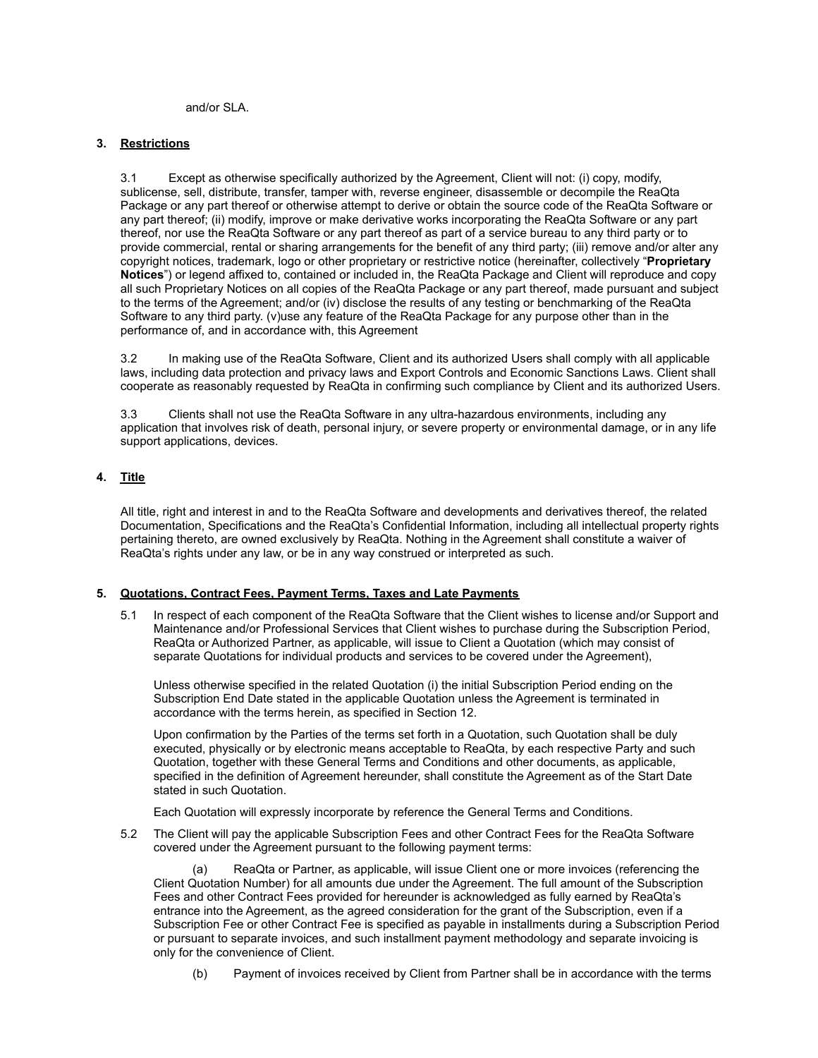and/or SLA.

## **3. Restrictions**

3.1 Except as otherwise specifically authorized by the Agreement, Client will not: (i) copy, modify, sublicense, sell, distribute, transfer, tamper with, reverse engineer, disassemble or decompile the ReaQta Package or any part thereof or otherwise attempt to derive or obtain the source code of the ReaQta Software or any part thereof; (ii) modify, improve or make derivative works incorporating the ReaQta Software or any part thereof, nor use the ReaQta Software or any part thereof as part of a service bureau to any third party or to provide commercial, rental or sharing arrangements for the benefit of any third party; (iii) remove and/or alter any copyright notices, trademark, logo or other proprietary or restrictive notice (hereinafter, collectively "**Proprietary Notices**") or legend affixed to, contained or included in, the ReaQta Package and Client will reproduce and copy all such Proprietary Notices on all copies of the ReaQta Package or any part thereof, made pursuant and subject to the terms of the Agreement; and/or (iv) disclose the results of any testing or benchmarking of the ReaQta Software to any third party. (v)use any feature of the ReaQta Package for any purpose other than in the performance of, and in accordance with, this Agreement

3.2 In making use of the ReaQta Software, Client and its authorized Users shall comply with all applicable laws, including data protection and privacy laws and Export Controls and Economic Sanctions Laws. Client shall cooperate as reasonably requested by ReaQta in confirming such compliance by Client and its authorized Users.

3.3 Clients shall not use the ReaQta Software in any ultra-hazardous environments, including any application that involves risk of death, personal injury, or severe property or environmental damage, or in any life support applications, devices.

# **4. Title**

All title, right and interest in and to the ReaQta Software and developments and derivatives thereof, the related Documentation, Specifications and the ReaQta's Confidential Information, including all intellectual property rights pertaining thereto, are owned exclusively by ReaQta. Nothing in the Agreement shall constitute a waiver of ReaQta's rights under any law, or be in any way construed or interpreted as such.

# **5. Quotations, Contract Fees, Payment Terms, Taxes and Late Payments**

5.1 In respect of each component of the ReaQta Software that the Client wishes to license and/or Support and Maintenance and/or Professional Services that Client wishes to purchase during the Subscription Period, ReaQta or Authorized Partner, as applicable, will issue to Client a Quotation (which may consist of separate Quotations for individual products and services to be covered under the Agreement),

Unless otherwise specified in the related Quotation (i) the initial Subscription Period ending on the Subscription End Date stated in the applicable Quotation unless the Agreement is terminated in accordance with the terms herein, as specified in Section 12.

Upon confirmation by the Parties of the terms set forth in a Quotation, such Quotation shall be duly executed, physically or by electronic means acceptable to ReaQta, by each respective Party and such Quotation, together with these General Terms and Conditions and other documents, as applicable, specified in the definition of Agreement hereunder, shall constitute the Agreement as of the Start Date stated in such Quotation.

Each Quotation will expressly incorporate by reference the General Terms and Conditions.

5.2 The Client will pay the applicable Subscription Fees and other Contract Fees for the ReaQta Software covered under the Agreement pursuant to the following payment terms:

(a) ReaQta or Partner, as applicable, will issue Client one or more invoices (referencing the Client Quotation Number) for all amounts due under the Agreement. The full amount of the Subscription Fees and other Contract Fees provided for hereunder is acknowledged as fully earned by ReaQta's entrance into the Agreement, as the agreed consideration for the grant of the Subscription, even if a Subscription Fee or other Contract Fee is specified as payable in installments during a Subscription Period or pursuant to separate invoices, and such installment payment methodology and separate invoicing is only for the convenience of Client.

(b) Payment of invoices received by Client from Partner shall be in accordance with the terms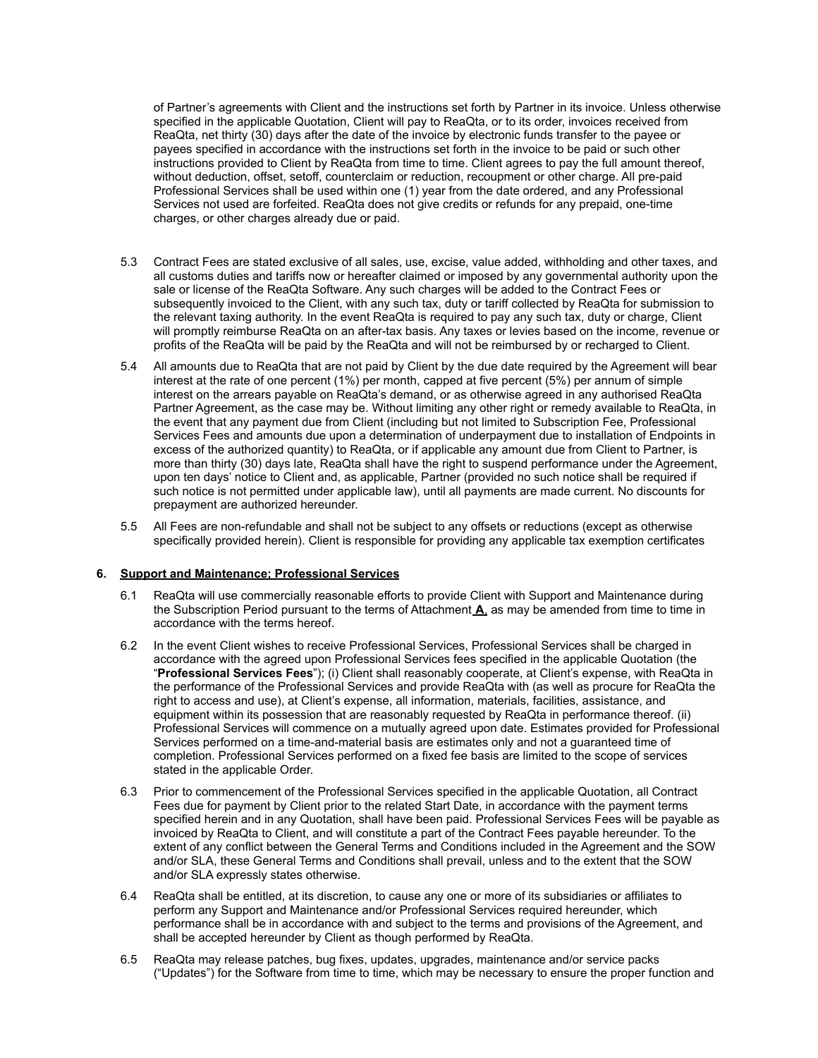of Partner's agreements with Client and the instructions set forth by Partner in its invoice. Unless otherwise specified in the applicable Quotation, Client will pay to ReaQta, or to its order, invoices received from ReaQta, net thirty (30) days after the date of the invoice by electronic funds transfer to the payee or payees specified in accordance with the instructions set forth in the invoice to be paid or such other instructions provided to Client by ReaQta from time to time. Client agrees to pay the full amount thereof, without deduction, offset, setoff, counterclaim or reduction, recoupment or other charge. All pre-paid Professional Services shall be used within one (1) year from the date ordered, and any Professional Services not used are forfeited. ReaQta does not give credits or refunds for any prepaid, one-time charges, or other charges already due or paid.

- 5.3 Contract Fees are stated exclusive of all sales, use, excise, value added, withholding and other taxes, and all customs duties and tariffs now or hereafter claimed or imposed by any governmental authority upon the sale or license of the ReaQta Software. Any such charges will be added to the Contract Fees or subsequently invoiced to the Client, with any such tax, duty or tariff collected by ReaQta for submission to the relevant taxing authority. In the event ReaQta is required to pay any such tax, duty or charge, Client will promptly reimburse ReaQta on an after-tax basis. Any taxes or levies based on the income, revenue or profits of the ReaQta will be paid by the ReaQta and will not be reimbursed by or recharged to Client.
- 5.4 All amounts due to ReaQta that are not paid by Client by the due date required by the Agreement will bear interest at the rate of one percent (1%) per month, capped at five percent (5%) per annum of simple interest on the arrears payable on ReaQta's demand, or as otherwise agreed in any authorised ReaQta Partner Agreement, as the case may be. Without limiting any other right or remedy available to ReaQta, in the event that any payment due from Client (including but not limited to Subscription Fee, Professional Services Fees and amounts due upon a determination of underpayment due to installation of Endpoints in excess of the authorized quantity) to ReaQta, or if applicable any amount due from Client to Partner, is more than thirty (30) days late, ReaQta shall have the right to suspend performance under the Agreement, upon ten days' notice to Client and, as applicable, Partner (provided no such notice shall be required if such notice is not permitted under applicable law), until all payments are made current. No discounts for prepayment are authorized hereunder.
- 5.5 All Fees are non-refundable and shall not be subject to any offsets or reductions (except as otherwise specifically provided herein). Client is responsible for providing any applicable tax exemption certificates

#### **6. Support and Maintenance; Professional Services**

- 6.1 ReaQta will use commercially reasonable efforts to provide Client with Support and Maintenance during the Subscription Period pursuant to the terms of Attachment **A**, as may be amended from time to time in accordance with the terms hereof.
- 6.2 In the event Client wishes to receive Professional Services, Professional Services shall be charged in accordance with the agreed upon Professional Services fees specified in the applicable Quotation (the "**Professional Services Fees**"); (i) Client shall reasonably cooperate, at Client's expense, with ReaQta in the performance of the Professional Services and provide ReaQta with (as well as procure for ReaQta the right to access and use), at Client's expense, all information, materials, facilities, assistance, and equipment within its possession that are reasonably requested by ReaQta in performance thereof. (ii) Professional Services will commence on a mutually agreed upon date. Estimates provided for Professional Services performed on a time-and-material basis are estimates only and not a guaranteed time of completion. Professional Services performed on a fixed fee basis are limited to the scope of services stated in the applicable Order.
- 6.3 Prior to commencement of the Professional Services specified in the applicable Quotation, all Contract Fees due for payment by Client prior to the related Start Date, in accordance with the payment terms specified herein and in any Quotation, shall have been paid. Professional Services Fees will be payable as invoiced by ReaQta to Client, and will constitute a part of the Contract Fees payable hereunder. To the extent of any conflict between the General Terms and Conditions included in the Agreement and the SOW and/or SLA, these General Terms and Conditions shall prevail, unless and to the extent that the SOW and/or SLA expressly states otherwise.
- 6.4 ReaQta shall be entitled, at its discretion, to cause any one or more of its subsidiaries or affiliates to perform any Support and Maintenance and/or Professional Services required hereunder, which performance shall be in accordance with and subject to the terms and provisions of the Agreement, and shall be accepted hereunder by Client as though performed by ReaQta.
- 6.5 ReaQta may release patches, bug fixes, updates, upgrades, maintenance and/or service packs ("Updates") for the Software from time to time, which may be necessary to ensure the proper function and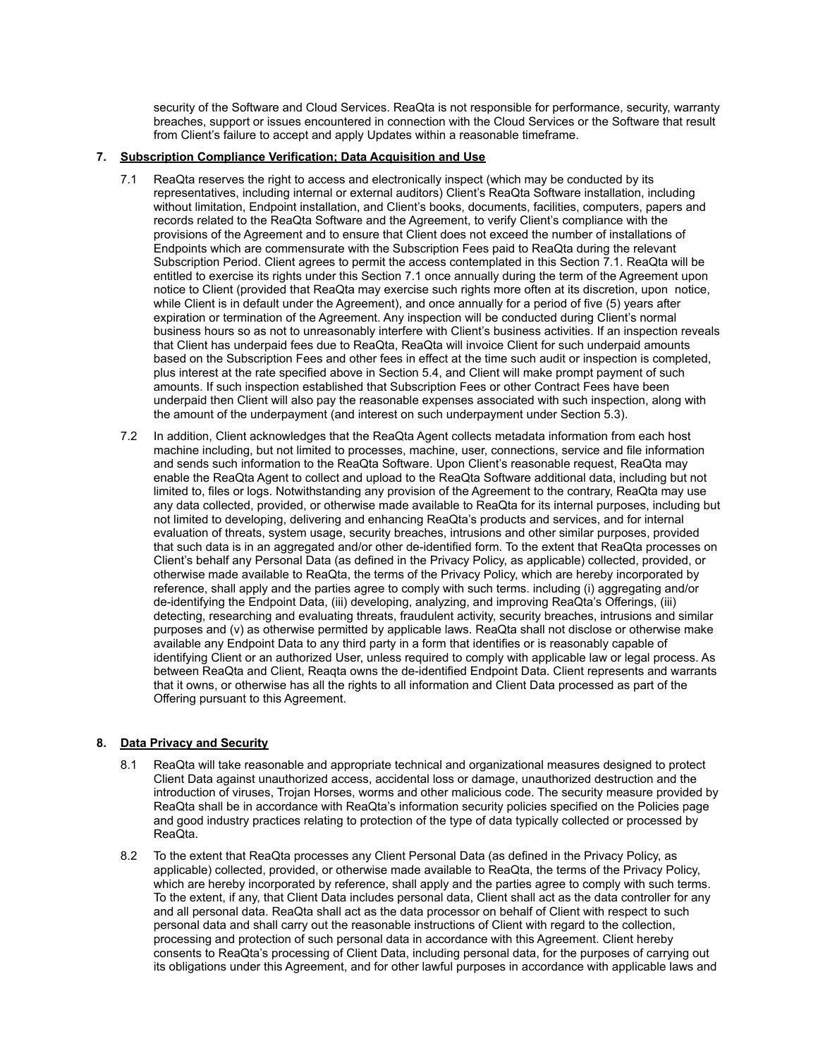security of the Software and Cloud Services. ReaQta is not responsible for performance, security, warranty breaches, support or issues encountered in connection with the Cloud Services or the Software that result from Client's failure to accept and apply Updates within a reasonable timeframe.

## **7. Subscription Compliance Verification; Data Acquisition and Use**

- 7.1 ReaQta reserves the right to access and electronically inspect (which may be conducted by its representatives, including internal or external auditors) Client's ReaQta Software installation, including without limitation, Endpoint installation, and Client's books, documents, facilities, computers, papers and records related to the ReaQta Software and the Agreement, to verify Client's compliance with the provisions of the Agreement and to ensure that Client does not exceed the number of installations of Endpoints which are commensurate with the Subscription Fees paid to ReaQta during the relevant Subscription Period. Client agrees to permit the access contemplated in this Section 7.1. ReaQta will be entitled to exercise its rights under this Section 7.1 once annually during the term of the Agreement upon notice to Client (provided that ReaQta may exercise such rights more often at its discretion, upon notice, while Client is in default under the Agreement), and once annually for a period of five (5) years after expiration or termination of the Agreement. Any inspection will be conducted during Client's normal business hours so as not to unreasonably interfere with Client's business activities. If an inspection reveals that Client has underpaid fees due to ReaQta, ReaQta will invoice Client for such underpaid amounts based on the Subscription Fees and other fees in effect at the time such audit or inspection is completed, plus interest at the rate specified above in Section 5.4, and Client will make prompt payment of such amounts. If such inspection established that Subscription Fees or other Contract Fees have been underpaid then Client will also pay the reasonable expenses associated with such inspection, along with the amount of the underpayment (and interest on such underpayment under Section 5.3).
- 7.2 In addition, Client acknowledges that the ReaQta Agent collects metadata information from each host machine including, but not limited to processes, machine, user, connections, service and file information and sends such information to the ReaQta Software. Upon Client's reasonable request, ReaQta may enable the ReaQta Agent to collect and upload to the ReaQta Software additional data, including but not limited to, files or logs. Notwithstanding any provision of the Agreement to the contrary, ReaQta may use any data collected, provided, or otherwise made available to ReaQta for its internal purposes, including but not limited to developing, delivering and enhancing ReaQta's products and services, and for internal evaluation of threats, system usage, security breaches, intrusions and other similar purposes, provided that such data is in an aggregated and/or other de-identified form. To the extent that ReaQta processes on Client's behalf any Personal Data (as defined in the Privacy Policy, as applicable) collected, provided, or otherwise made available to ReaQta, the terms of the Privacy Policy, which are hereby incorporated by reference, shall apply and the parties agree to comply with such terms. including (i) aggregating and/or de-identifying the Endpoint Data, (iii) developing, analyzing, and improving ReaQta's Offerings, (iii) detecting, researching and evaluating threats, fraudulent activity, security breaches, intrusions and similar purposes and (v) as otherwise permitted by applicable laws. ReaQta shall not disclose or otherwise make available any Endpoint Data to any third party in a form that identifies or is reasonably capable of identifying Client or an authorized User, unless required to comply with applicable law or legal process. As between ReaQta and Client, Reaqta owns the de-identified Endpoint Data. Client represents and warrants that it owns, or otherwise has all the rights to all information and Client Data processed as part of the Offering pursuant to this Agreement.

## **8. Data Privacy and Security**

- 8.1 ReaQta will take reasonable and appropriate technical and organizational measures designed to protect Client Data against unauthorized access, accidental loss or damage, unauthorized destruction and the introduction of viruses, Trojan Horses, worms and other malicious code. The security measure provided by ReaQta shall be in accordance with ReaQta's information security policies specified on the Policies page and good industry practices relating to protection of the type of data typically collected or processed by ReaQta.
- 8.2 To the extent that ReaQta processes any Client Personal Data (as defined in the Privacy Policy, as applicable) collected, provided, or otherwise made available to ReaQta, the terms of the Privacy Policy, which are hereby incorporated by reference, shall apply and the parties agree to comply with such terms. To the extent, if any, that Client Data includes personal data, Client shall act as the data controller for any and all personal data. ReaQta shall act as the data processor on behalf of Client with respect to such personal data and shall carry out the reasonable instructions of Client with regard to the collection, processing and protection of such personal data in accordance with this Agreement. Client hereby consents to ReaQta's processing of Client Data, including personal data, for the purposes of carrying out its obligations under this Agreement, and for other lawful purposes in accordance with applicable laws and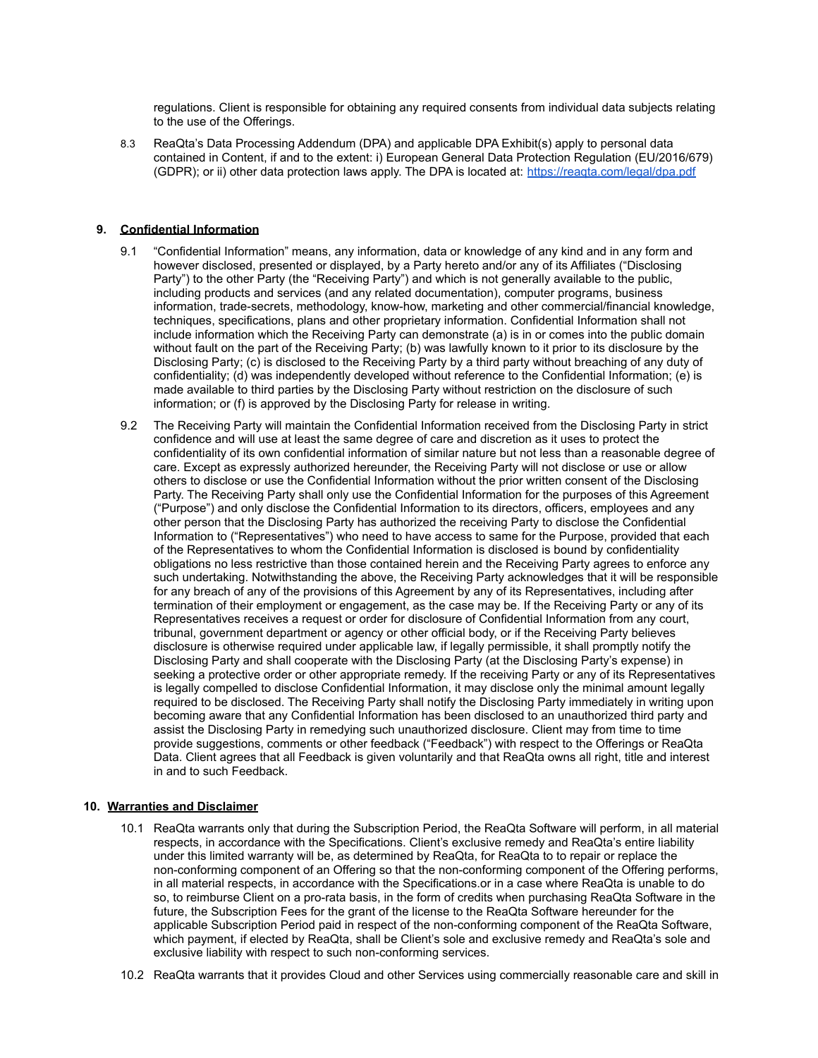regulations. Client is responsible for obtaining any required consents from individual data subjects relating to the use of the Offerings.

8.3 ReaQta's Data Processing Addendum (DPA) and applicable DPA Exhibit(s) apply to personal data contained in Content, if and to the extent: i) European General Data Protection Regulation (EU/2016/679) (GDPR); or ii) other data protection laws apply. The DPA is located at: <https://reaqta.com/legal/dpa.pdf>

## **9. Confidential Information**

- 9.1 "Confidential Information" means, any information, data or knowledge of any kind and in any form and however disclosed, presented or displayed, by a Party hereto and/or any of its Affiliates ("Disclosing Party") to the other Party (the "Receiving Party") and which is not generally available to the public, including products and services (and any related documentation), computer programs, business information, trade-secrets, methodology, know-how, marketing and other commercial/financial knowledge, techniques, specifications, plans and other proprietary information. Confidential Information shall not include information which the Receiving Party can demonstrate (a) is in or comes into the public domain without fault on the part of the Receiving Party; (b) was lawfully known to it prior to its disclosure by the Disclosing Party; (c) is disclosed to the Receiving Party by a third party without breaching of any duty of confidentiality; (d) was independently developed without reference to the Confidential Information; (e) is made available to third parties by the Disclosing Party without restriction on the disclosure of such information; or (f) is approved by the Disclosing Party for release in writing.
- 9.2 The Receiving Party will maintain the Confidential Information received from the Disclosing Party in strict confidence and will use at least the same degree of care and discretion as it uses to protect the confidentiality of its own confidential information of similar nature but not less than a reasonable degree of care. Except as expressly authorized hereunder, the Receiving Party will not disclose or use or allow others to disclose or use the Confidential Information without the prior written consent of the Disclosing Party. The Receiving Party shall only use the Confidential Information for the purposes of this Agreement ("Purpose") and only disclose the Confidential Information to its directors, officers, employees and any other person that the Disclosing Party has authorized the receiving Party to disclose the Confidential Information to ("Representatives") who need to have access to same for the Purpose, provided that each of the Representatives to whom the Confidential Information is disclosed is bound by confidentiality obligations no less restrictive than those contained herein and the Receiving Party agrees to enforce any such undertaking. Notwithstanding the above, the Receiving Party acknowledges that it will be responsible for any breach of any of the provisions of this Agreement by any of its Representatives, including after termination of their employment or engagement, as the case may be. If the Receiving Party or any of its Representatives receives a request or order for disclosure of Confidential Information from any court, tribunal, government department or agency or other official body, or if the Receiving Party believes disclosure is otherwise required under applicable law, if legally permissible, it shall promptly notify the Disclosing Party and shall cooperate with the Disclosing Party (at the Disclosing Party's expense) in seeking a protective order or other appropriate remedy. If the receiving Party or any of its Representatives is legally compelled to disclose Confidential Information, it may disclose only the minimal amount legally required to be disclosed. The Receiving Party shall notify the Disclosing Party immediately in writing upon becoming aware that any Confidential Information has been disclosed to an unauthorized third party and assist the Disclosing Party in remedying such unauthorized disclosure. Client may from time to time provide suggestions, comments or other feedback ("Feedback") with respect to the Offerings or ReaQta Data. Client agrees that all Feedback is given voluntarily and that ReaQta owns all right, title and interest in and to such Feedback.

#### **10. Warranties and Disclaimer**

- 10.1 ReaQta warrants only that during the Subscription Period, the ReaQta Software will perform, in all material respects, in accordance with the Specifications. Client's exclusive remedy and ReaQta's entire liability under this limited warranty will be, as determined by ReaQta, for ReaQta to to repair or replace the non-conforming component of an Offering so that the non-conforming component of the Offering performs, in all material respects, in accordance with the Specifications.or in a case where ReaQta is unable to do so, to reimburse Client on a pro-rata basis, in the form of credits when purchasing ReaQta Software in the future, the Subscription Fees for the grant of the license to the ReaQta Software hereunder for the applicable Subscription Period paid in respect of the non-conforming component of the ReaQta Software, which payment, if elected by ReaQta, shall be Client's sole and exclusive remedy and ReaQta's sole and exclusive liability with respect to such non-conforming services.
- 10.2 ReaQta warrants that it provides Cloud and other Services using commercially reasonable care and skill in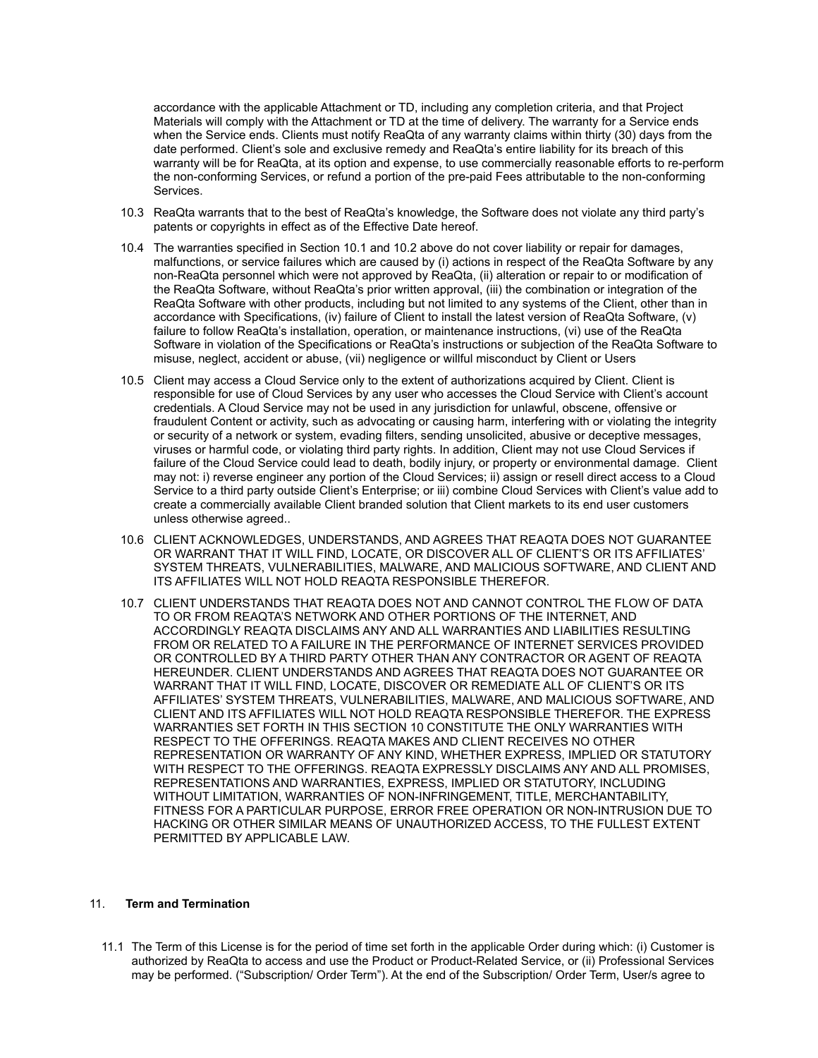accordance with the applicable Attachment or TD, including any completion criteria, and that Project Materials will comply with the Attachment or TD at the time of delivery. The warranty for a Service ends when the Service ends. Clients must notify ReaQta of any warranty claims within thirty (30) days from the date performed. Client's sole and exclusive remedy and ReaQta's entire liability for its breach of this warranty will be for ReaQta, at its option and expense, to use commercially reasonable efforts to re-perform the non-conforming Services, or refund a portion of the pre-paid Fees attributable to the non-conforming Services.

- 10.3 ReaQta warrants that to the best of ReaQta's knowledge, the Software does not violate any third party's patents or copyrights in effect as of the Effective Date hereof.
- 10.4 The warranties specified in Section 10.1 and 10.2 above do not cover liability or repair for damages, malfunctions, or service failures which are caused by (i) actions in respect of the ReaQta Software by any non-ReaQta personnel which were not approved by ReaQta, (ii) alteration or repair to or modification of the ReaQta Software, without ReaQta's prior written approval, (iii) the combination or integration of the ReaQta Software with other products, including but not limited to any systems of the Client, other than in accordance with Specifications, (iv) failure of Client to install the latest version of ReaQta Software, (v) failure to follow ReaQta's installation, operation, or maintenance instructions, (vi) use of the ReaQta Software in violation of the Specifications or ReaQta's instructions or subjection of the ReaQta Software to misuse, neglect, accident or abuse, (vii) negligence or willful misconduct by Client or Users
- 10.5 Client may access a Cloud Service only to the extent of authorizations acquired by Client. Client is responsible for use of Cloud Services by any user who accesses the Cloud Service with Client's account credentials. A Cloud Service may not be used in any jurisdiction for unlawful, obscene, offensive or fraudulent Content or activity, such as advocating or causing harm, interfering with or violating the integrity or security of a network or system, evading filters, sending unsolicited, abusive or deceptive messages, viruses or harmful code, or violating third party rights. In addition, Client may not use Cloud Services if failure of the Cloud Service could lead to death, bodily injury, or property or environmental damage. Client may not: i) reverse engineer any portion of the Cloud Services; ii) assign or resell direct access to a Cloud Service to a third party outside Client's Enterprise; or iii) combine Cloud Services with Client's value add to create a commercially available Client branded solution that Client markets to its end user customers unless otherwise agreed..
- 10.6 CLIENT ACKNOWLEDGES, UNDERSTANDS, AND AGREES THAT REAQTA DOES NOT GUARANTEE OR WARRANT THAT IT WILL FIND, LOCATE, OR DISCOVER ALL OF CLIENT'S OR ITS AFFILIATES' SYSTEM THREATS, VULNERABILITIES, MALWARE, AND MALICIOUS SOFTWARE, AND CLIENT AND ITS AFFILIATES WILL NOT HOLD REAQTA RESPONSIBLE THEREFOR.
- 10.7 CLIENT UNDERSTANDS THAT REAQTA DOES NOT AND CANNOT CONTROL THE FLOW OF DATA TO OR FROM REAQTA'S NETWORK AND OTHER PORTIONS OF THE INTERNET, AND ACCORDINGLY REAQTA DISCLAIMS ANY AND ALL WARRANTIES AND LIABILITIES RESULTING FROM OR RELATED TO A FAILURE IN THE PERFORMANCE OF INTERNET SERVICES PROVIDED OR CONTROLLED BY A THIRD PARTY OTHER THAN ANY CONTRACTOR OR AGENT OF REAQTA HEREUNDER. CLIENT UNDERSTANDS AND AGREES THAT REAQTA DOES NOT GUARANTEE OR WARRANT THAT IT WILL FIND, LOCATE, DISCOVER OR REMEDIATE ALL OF CLIENT'S OR ITS AFFILIATES' SYSTEM THREATS, VULNERABILITIES, MALWARE, AND MALICIOUS SOFTWARE, AND CLIENT AND ITS AFFILIATES WILL NOT HOLD REAQTA RESPONSIBLE THEREFOR. THE EXPRESS WARRANTIES SET FORTH IN THIS SECTION 10 CONSTITUTE THE ONLY WARRANTIES WITH RESPECT TO THE OFFERINGS. REAQTA MAKES AND CLIENT RECEIVES NO OTHER REPRESENTATION OR WARRANTY OF ANY KIND, WHETHER EXPRESS, IMPLIED OR STATUTORY WITH RESPECT TO THE OFFERINGS. REAQTA EXPRESSLY DISCLAIMS ANY AND ALL PROMISES, REPRESENTATIONS AND WARRANTIES, EXPRESS, IMPLIED OR STATUTORY, INCLUDING WITHOUT LIMITATION, WARRANTIES OF NON-INFRINGEMENT, TITLE, MERCHANTABILITY, FITNESS FOR A PARTICULAR PURPOSE, ERROR FREE OPERATION OR NON-INTRUSION DUE TO HACKING OR OTHER SIMILAR MEANS OF UNAUTHORIZED ACCESS, TO THE FULLEST EXTENT PERMITTED BY APPLICABLE LAW.

# 11. **Term and Termination**

11.1 The Term of this License is for the period of time set forth in the applicable Order during which: (i) Customer is authorized by ReaQta to access and use the Product or Product-Related Service, or (ii) Professional Services may be performed. ("Subscription/ Order Term"). At the end of the Subscription/ Order Term, User/s agree to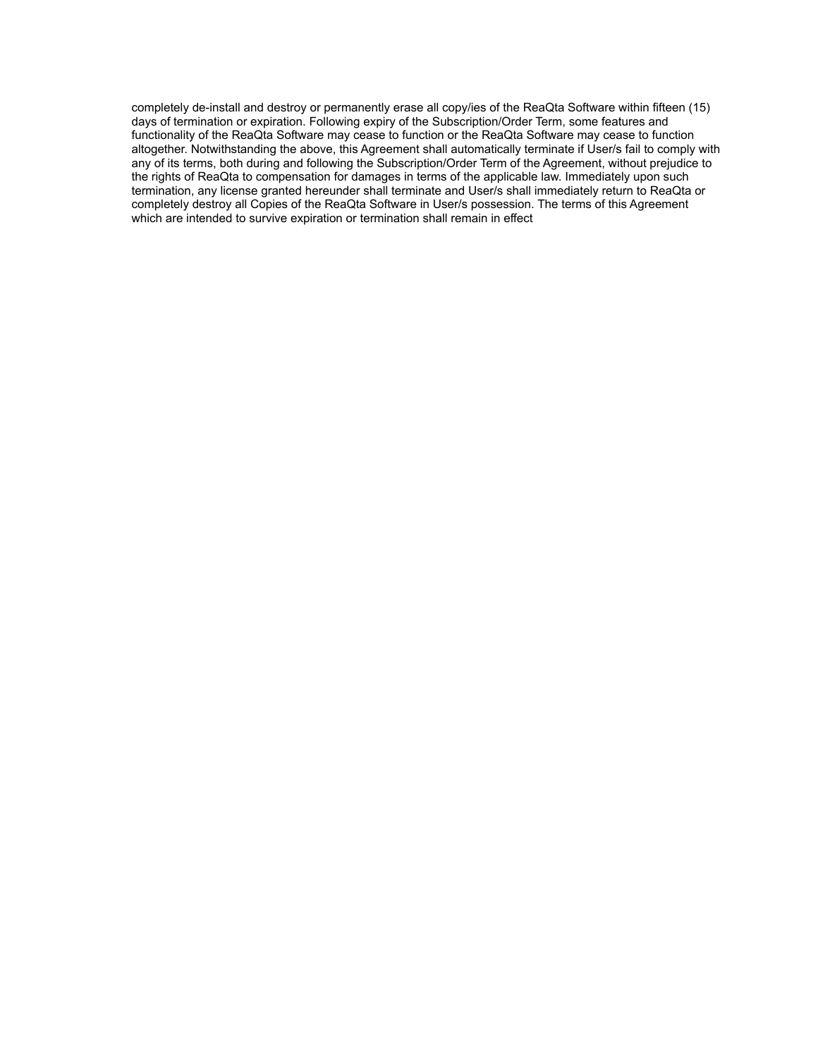completely de-install and destroy or permanently erase all copy/ies of the ReaQta Software within fifteen (15) days of termination or expiration. Following expiry of the Subscription/Order Term, some features and functionality of the ReaQta Software may cease to function or the ReaQta Software may cease to function altogether. Notwithstanding the above, this Agreement shall automatically terminate if User/s fail to comply with any of its terms, both during and following the Subscription/Order Term of the Agreement, without prejudice to the rights of ReaQta to compensation for damages in terms of the applicable law. Immediately upon such termination, any license granted hereunder shall terminate and User/s shall immediately return to ReaQta or completely destroy all Copies of the ReaQta Software in User/s possession. The terms of this Agreement which are intended to survive expiration or termination shall remain in effect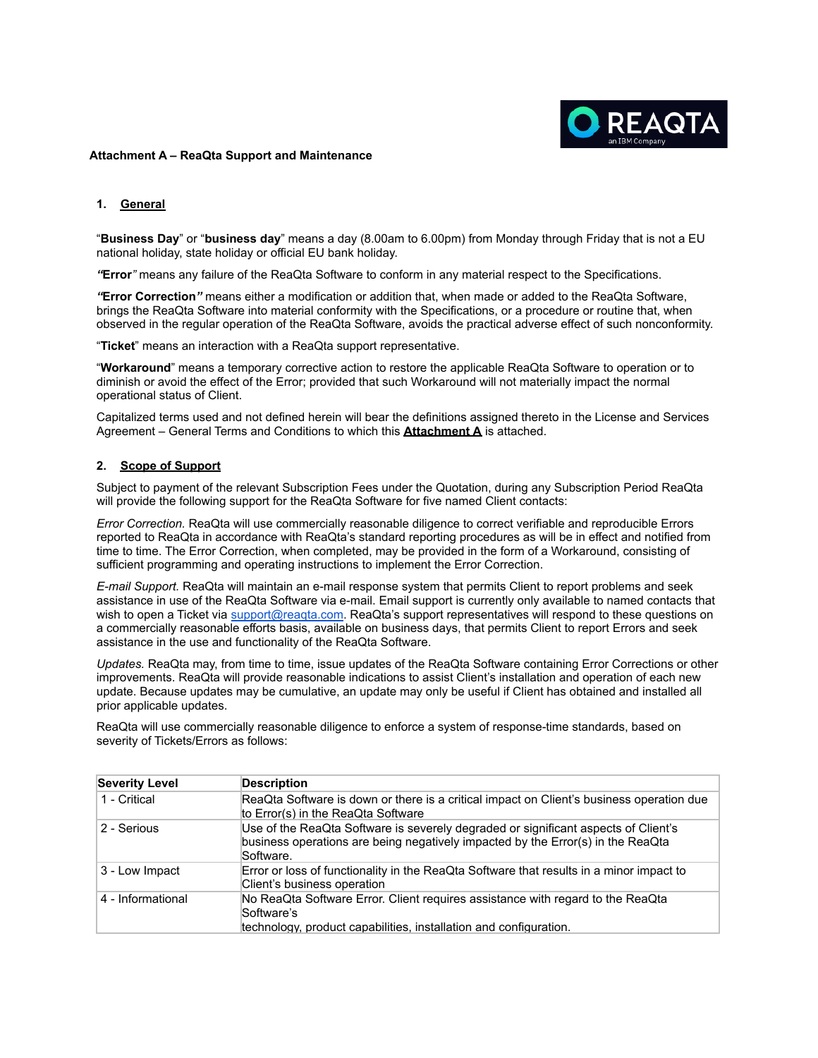

#### **Attachment A – ReaQta Support and Maintenance**

## **1. General**

"**Business Day**" or "**business day**" means a day (8.00am to 6.00pm) from Monday through Friday that is not a EU national holiday, state holiday or official EU bank holiday.

*"***Error***"* means any failure of the ReaQta Software to conform in any material respect to the Specifications.

*"***Error Correction***"* means either a modification or addition that, when made or added to the ReaQta Software, brings the ReaQta Software into material conformity with the Specifications, or a procedure or routine that, when observed in the regular operation of the ReaQta Software, avoids the practical adverse effect of such nonconformity.

"**Ticket**" means an interaction with a ReaQta support representative.

"**Workaround**" means a temporary corrective action to restore the applicable ReaQta Software to operation or to diminish or avoid the effect of the Error; provided that such Workaround will not materially impact the normal operational status of Client.

Capitalized terms used and not defined herein will bear the definitions assigned thereto in the License and Services Agreement – General Terms and Conditions to which this **Attachment A** is attached.

## **2. Scope of Support**

Subject to payment of the relevant Subscription Fees under the Quotation, during any Subscription Period ReaQta will provide the following support for the ReaQta Software for five named Client contacts:

*Error Correction.* ReaQta will use commercially reasonable diligence to correct verifiable and reproducible Errors reported to ReaQta in accordance with ReaQta's standard reporting procedures as will be in effect and notified from time to time. The Error Correction, when completed, may be provided in the form of a Workaround, consisting of sufficient programming and operating instructions to implement the Error Correction.

*E-mail Support.* ReaQta will maintain an e-mail response system that permits Client to report problems and seek assistance in use of the ReaQta Software via e-mail. Email support is currently only available to named contacts that wish to open a Ticket via support@reagta.com. ReaQta's support representatives will respond to these questions on a commercially reasonable efforts basis, available on business days, that permits Client to report Errors and seek assistance in the use and functionality of the ReaQta Software.

*Updates.* ReaQta may, from time to time, issue updates of the ReaQta Software containing Error Corrections or other improvements. ReaQta will provide reasonable indications to assist Client's installation and operation of each new update. Because updates may be cumulative, an update may only be useful if Client has obtained and installed all prior applicable updates.

ReaQta will use commercially reasonable diligence to enforce a system of response-time standards, based on severity of Tickets/Errors as follows:

| <b>Severity Level</b> | <b>Description</b>                                                                                                                                                                 |  |  |
|-----------------------|------------------------------------------------------------------------------------------------------------------------------------------------------------------------------------|--|--|
| 1 - Critical          | ReaQta Software is down or there is a critical impact on Client's business operation due<br>to Error(s) in the ReaQta Software                                                     |  |  |
| 2 - Serious           | Use of the ReaQta Software is severely degraded or significant aspects of Client's<br>business operations are being negatively impacted by the Error(s) in the ReaQta<br>Software. |  |  |
| 3 - Low Impact        | Error or loss of functionality in the ReaQta Software that results in a minor impact to<br>Client's business operation                                                             |  |  |
| 4 - Informational     | No ReaQta Software Error. Client requires assistance with regard to the ReaQta<br>Software's<br>technology, product capabilities, installation and configuration.                  |  |  |